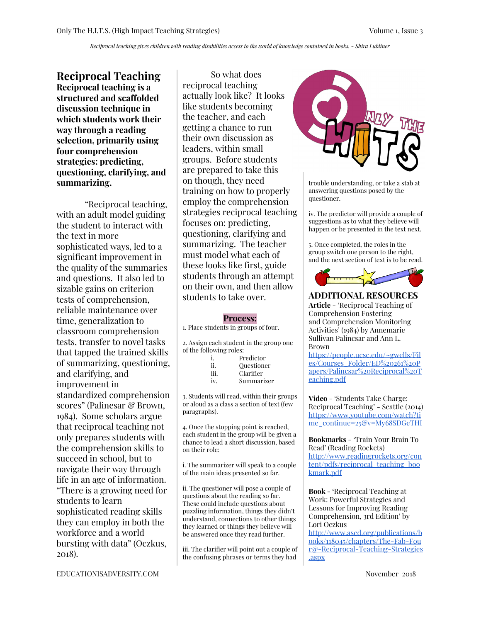Reciprocal teaching gives children with reading disabilities access to the world of knowledge contained in books. - Shira Lubliner

**Reciprocal Teaching Reciprocal teaching is a structured and scaffolded discussion technique in which students work their way through a reading selection, primarily using four comprehension strategies: predicting, questioning, clarifying, and summarizing.**

"Reciprocal teaching, with an adult model guiding the student to interact with the text in more sophisticated ways, led to a significant improvement in the quality of the summaries and questions. It also led to sizable gains on criterion tests of comprehension, reliable maintenance over time, generalization to classroom comprehension tests, transfer to novel tasks that tapped the trained skills of summarizing, questioning, and clarifying, and improvement in standardized comprehension scores" (Palinesar & Brown, 1984). Some scholars argue that reciprocal teaching not only prepares students with the comprehension skills to succeed in school, but to navigate their way through life in an age of information. "There is a growing need for students to learn sophisticated reading skills they can employ in both the workforce and a world bursting with data" (Oczkus, 2018).

So what does reciprocal teaching actually look like? It looks like students becoming the teacher, and each getting a chance to run their own discussion as leaders, within small groups. Before students are prepared to take this on though, they need training on how to properly employ the comprehension strategies reciprocal teaching focuses on: predicting, questioning, clarifying and summarizing. The teacher must model what each of these looks like first, guide students through an attempt on their own, and then allow students to take over.

## **Process:**

1. Place students in groups of four.

2. Assign each student in the group one of the following roles:

|      | Predictor  |
|------|------------|
| ij.  | Ouestioner |
| 111. | Clarifier  |
| iv.  | Summarizer |

3. Students will read, within their groups or aloud as a class a section of text (few paragraphs).

4. Once the stopping point is reached, each student in the group will be given a chance to lead a short discussion, based on their role:

i. The summarizer will speak to a couple of the main ideas presented so far.

ii. The questioner will pose a couple of questions about the reading so far. These could include questions about puzzling information, things they didn't understand, connections to other things they learned or things they believe will be answered once they read further.

iii. The clarifier will point out a couple of the confusing phrases or terms they had



trouble understanding, or take a stab at answering questions posed by the questioner.

iv. The predictor will provide a couple of suggestions as to what they believe will happen or be presented in the text next.

5. Once completed, the roles in the group switch one person to the right, and the next section of text is to be read.



**ADDITIONAL RESOURCES**

**Article** - 'Reciprocal Teaching of Comprehension Fostering and Comprehension Monitoring Activities' (1984) by Annemarie Sullivan Palincsar and Ann L. Brown

[https://people.ucsc.edu/~gwells/Fil](https://people.ucsc.edu/~gwells/Files/Courses_Folder/ED%20261%20Papers/Palincsar%20Reciprocal%20Teaching.pdf) [es/Courses\\_Folder/ED%20261%20P](https://people.ucsc.edu/~gwells/Files/Courses_Folder/ED%20261%20Papers/Palincsar%20Reciprocal%20Teaching.pdf) [apers/Palincsar%20Reciprocal%20T](https://people.ucsc.edu/~gwells/Files/Courses_Folder/ED%20261%20Papers/Palincsar%20Reciprocal%20Teaching.pdf) [eaching.pdf](https://people.ucsc.edu/~gwells/Files/Courses_Folder/ED%20261%20Papers/Palincsar%20Reciprocal%20Teaching.pdf)

**Video** - 'Students Take Charge: Reciprocal Teaching' - Seattle (2014) [https://www.youtube.com/watch?ti](https://www.youtube.com/watch?time_continue=25&v=My68SDGeTHI) [me\\_continue=25&v=My68SDGeTHI](https://www.youtube.com/watch?time_continue=25&v=My68SDGeTHI)

**Bookmarks** - 'Train Your Brain To Read' (Reading Rockets) [http://www.readingrockets.org/con](http://www.readingrockets.org/content/pdfs/reciprocal_teaching_bookmark.pdf) [tent/pdfs/reciprocal\\_teaching\\_boo](http://www.readingrockets.org/content/pdfs/reciprocal_teaching_bookmark.pdf) [kmark.pdf](http://www.readingrockets.org/content/pdfs/reciprocal_teaching_bookmark.pdf)

**Book - '**Reciprocal Teaching at Work: Powerful Strategies and Lessons for Improving Reading Comprehension, 3rd Edition' by Lori Oczkus [http://www.ascd.org/publications/b](http://www.ascd.org/publications/books/118045/chapters/The-Fab-Four@-Reciprocal-Teaching-Strategies.aspx) [ooks/118045/chapters/The-Fab-Fou](http://www.ascd.org/publications/books/118045/chapters/The-Fab-Four@-Reciprocal-Teaching-Strategies.aspx) [r@-Reciprocal-Teaching-Strategies](http://www.ascd.org/publications/books/118045/chapters/The-Fab-Four@-Reciprocal-Teaching-Strategies.aspx) [.aspx](http://www.ascd.org/publications/books/118045/chapters/The-Fab-Four@-Reciprocal-Teaching-Strategies.aspx)